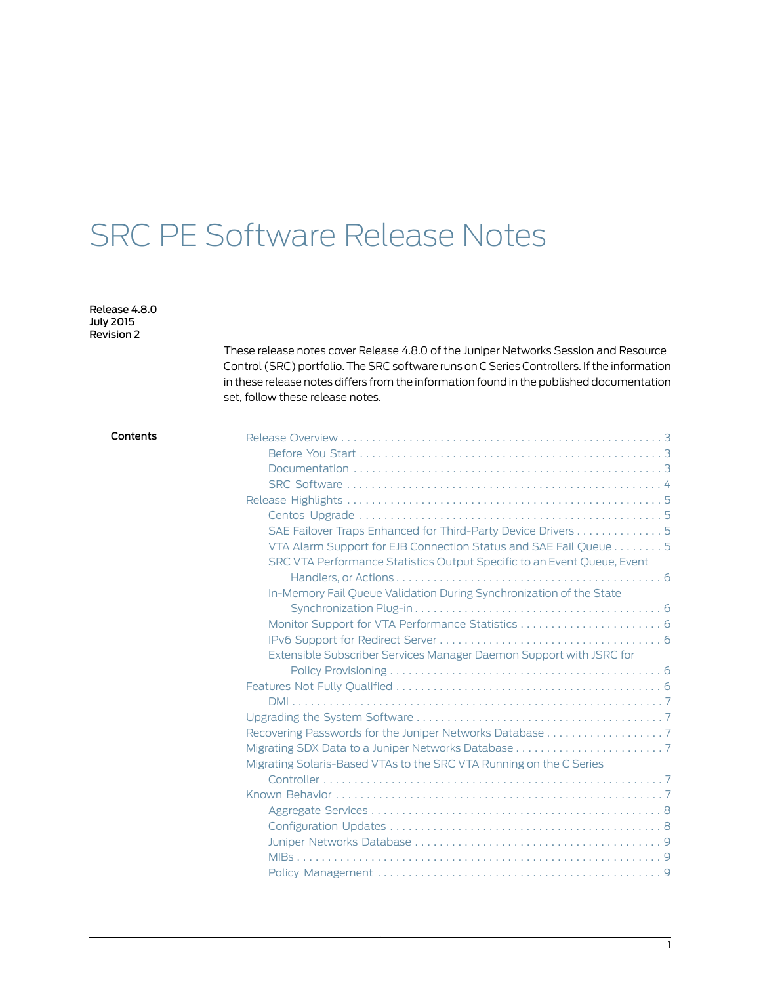# SRC PE Software Release Notes

Release 4.8.0 July 2015 Revision 2

> These release notes cover Release 4.8.0 of the Juniper Networks Session and Resource Control (SRC) portfolio. The SRC software runs on C Series Controllers. If the information in these release notes differs from the information found in the published documentation set, follow these release notes.

| SAE Failover Traps Enhanced for Third-Party Device Drivers 5            |  |
|-------------------------------------------------------------------------|--|
| VTA Alarm Support for EJB Connection Status and SAE Fail Queue 5        |  |
| SRC VTA Performance Statistics Output Specific to an Event Queue, Event |  |
|                                                                         |  |
| In-Memory Fail Queue Validation During Synchronization of the State     |  |
|                                                                         |  |
|                                                                         |  |
|                                                                         |  |
| Extensible Subscriber Services Manager Daemon Support with JSRC for     |  |
|                                                                         |  |
|                                                                         |  |
|                                                                         |  |
|                                                                         |  |
|                                                                         |  |
|                                                                         |  |
| Migrating Solaris-Based VTAs to the SRC VTA Running on the C Series     |  |
|                                                                         |  |
|                                                                         |  |
|                                                                         |  |
|                                                                         |  |
|                                                                         |  |
|                                                                         |  |
|                                                                         |  |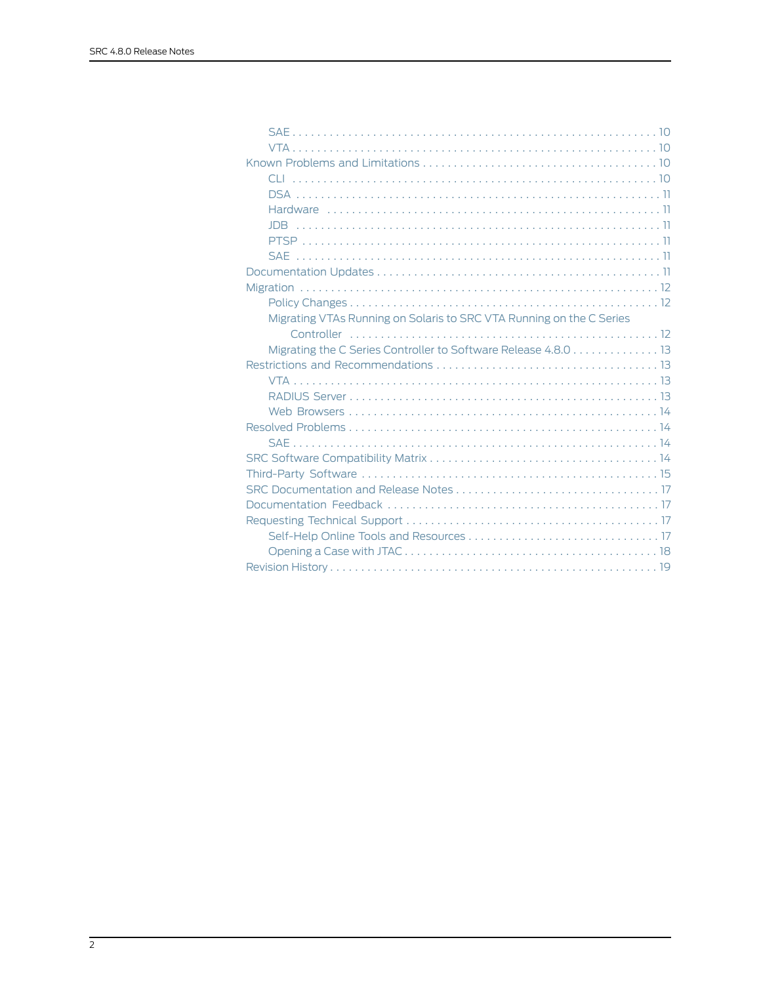| Migrating VTAs Running on Solaris to SRC VTA Running on the C Series |
|----------------------------------------------------------------------|
|                                                                      |
| Migrating the C Series Controller to Software Release 4.8.0 13       |
|                                                                      |
|                                                                      |
|                                                                      |
|                                                                      |
|                                                                      |
|                                                                      |
|                                                                      |
|                                                                      |
|                                                                      |
|                                                                      |
|                                                                      |
|                                                                      |
|                                                                      |
|                                                                      |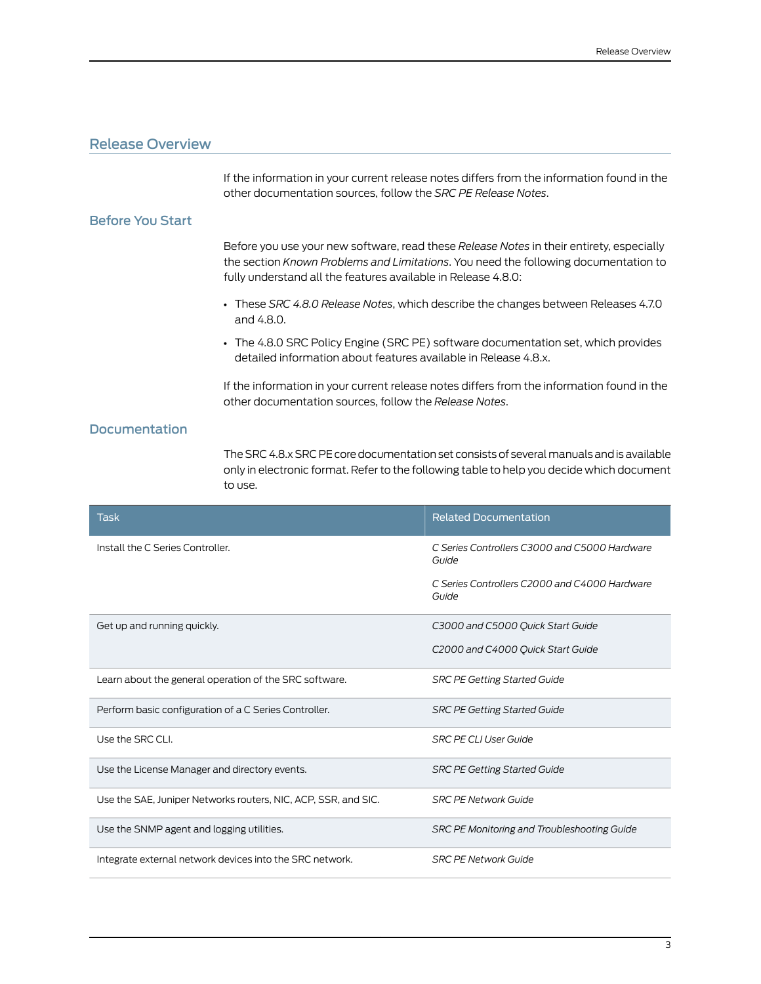# <span id="page-2-0"></span>Release Overview

If the information in your current release notes differs from the information found in the other documentation sources, follow the *SRC PE Release Notes*.

## <span id="page-2-1"></span>Before You Start

Before you use your new software, read these *Release Notes* in their entirety, especially the section *Known Problems and Limitations*. You need the following documentation to fully understand all the features available in Release 4.8.0:

- These *SRC 4.8.0 Release Notes*, which describe the changes between Releases 4.7.0 and 4.8.0.
- The 4.8.0 SRC Policy Engine (SRC PE) software documentation set, which provides detailed information about features available in Release 4.8.x.

If the information in your current release notes differs from the information found in the other documentation sources, follow the *Release Notes*.

# <span id="page-2-2"></span>**Documentation**

The SRC 4.8.x SRC PE core documentation set consists of several manuals and is available only in electronic format. Refer to the following table to help you decide which document to use.

| <b>Task</b>                                                    | <b>Related Documentation</b>                           |
|----------------------------------------------------------------|--------------------------------------------------------|
| Install the C Series Controller.                               | C Series Controllers C3000 and C5000 Hardware<br>Guide |
|                                                                | C Series Controllers C2000 and C4000 Hardware<br>Guide |
| Get up and running quickly.                                    | C3000 and C5000 Quick Start Guide                      |
|                                                                | C2000 and C4000 Quick Start Guide                      |
| Learn about the general operation of the SRC software.         | <b>SRC PE Getting Started Guide</b>                    |
| Perform basic configuration of a C Series Controller.          | <b>SRC PE Getting Started Guide</b>                    |
| Use the SRC CLI.                                               | <b>SRC PE CLI User Guide</b>                           |
| Use the License Manager and directory events.                  | <b>SRC PE Getting Started Guide</b>                    |
| Use the SAE, Juniper Networks routers, NIC, ACP, SSR, and SIC. | <b>SRC PF Network Guide</b>                            |
| Use the SNMP agent and logging utilities.                      | SRC PE Monitoring and Troubleshooting Guide            |
| Integrate external network devices into the SRC network.       | <b>SRC PE Network Guide</b>                            |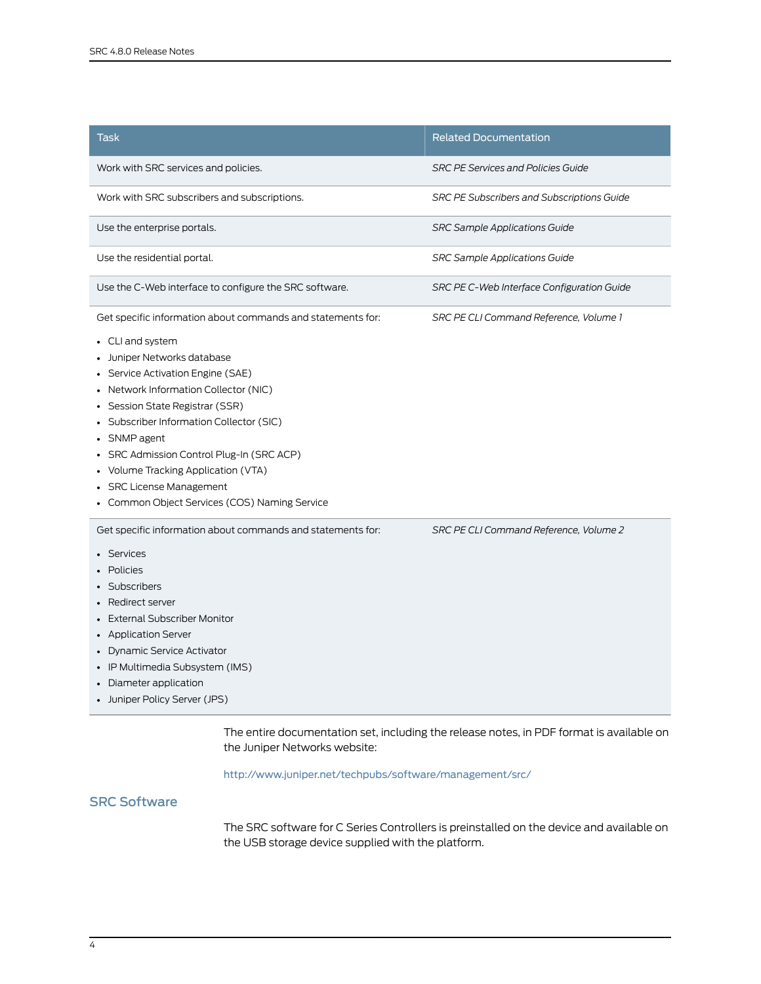| Task                                                                                                                                                                                                                                                                                                                                                                                           | <b>Related Documentation</b>                      |
|------------------------------------------------------------------------------------------------------------------------------------------------------------------------------------------------------------------------------------------------------------------------------------------------------------------------------------------------------------------------------------------------|---------------------------------------------------|
| Work with SRC services and policies.                                                                                                                                                                                                                                                                                                                                                           | <b>SRC PE Services and Policies Guide</b>         |
| Work with SRC subscribers and subscriptions.                                                                                                                                                                                                                                                                                                                                                   | <b>SRC PE Subscribers and Subscriptions Guide</b> |
| Use the enterprise portals.                                                                                                                                                                                                                                                                                                                                                                    | SRC Sample Applications Guide                     |
| Use the residential portal.                                                                                                                                                                                                                                                                                                                                                                    | <b>SRC Sample Applications Guide</b>              |
| Use the C-Web interface to configure the SRC software.                                                                                                                                                                                                                                                                                                                                         | SRC PE C-Web Interface Configuration Guide        |
| Get specific information about commands and statements for:                                                                                                                                                                                                                                                                                                                                    | SRC PE CLI Command Reference, Volume 1            |
| • CLI and system<br>Juniper Networks database<br>• Service Activation Engine (SAE)<br>• Network Information Collector (NIC)<br>• Session State Registrar (SSR)<br>• Subscriber Information Collector (SIC)<br>• SNMP agent<br>SRC Admission Control Plug-In (SRC ACP)<br>• Volume Tracking Application (VTA)<br><b>SRC License Management</b><br>• Common Object Services (COS) Naming Service |                                                   |
| Get specific information about commands and statements for:<br>• Services<br>• Policies<br>Subscribers<br>• Redirect server<br><b>External Subscriber Monitor</b><br>• Application Server<br>• Dynamic Service Activator<br>• IP Multimedia Subsystem (IMS)<br>• Diameter application<br>• Juniper Policy Server (JPS)                                                                         | SRC PE CLI Command Reference, Volume 2            |

The entire documentation set, including the release notes, in PDF format is available on the Juniper Networks website:

<http://www.juniper.net/techpubs/software/management/src/>

# <span id="page-3-0"></span>SRC Software

The SRC software for C Series Controllers is preinstalled on the device and available on the USB storage device supplied with the platform.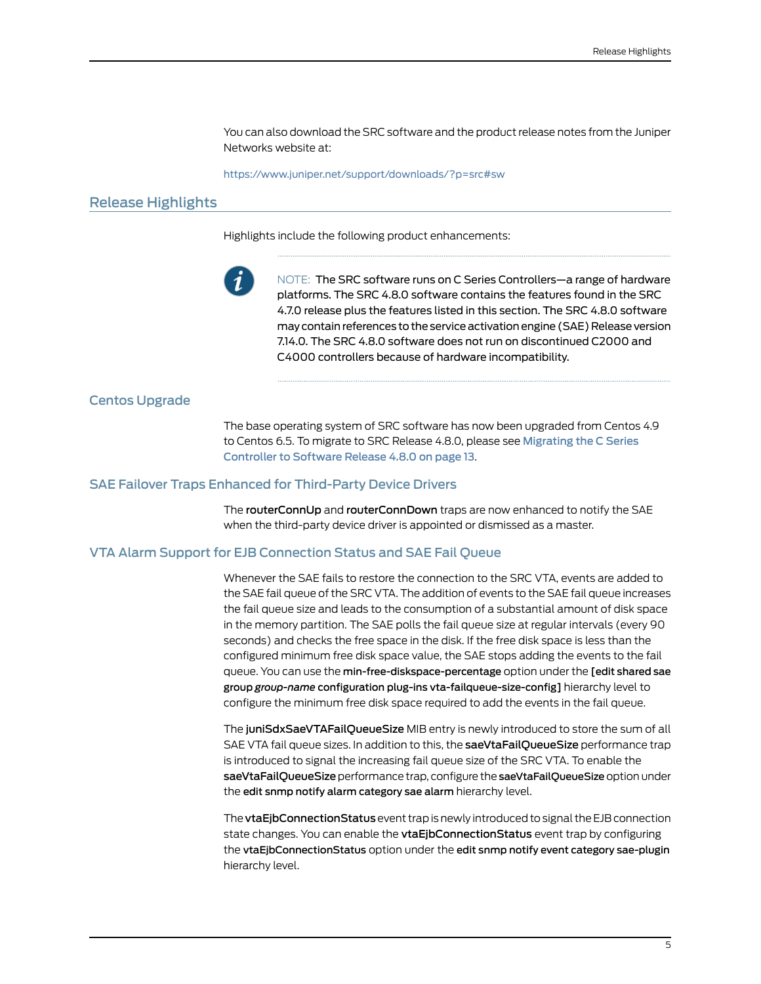You can also download the SRC software and the product release notes from the Juniper Networks website at:

<https://www.juniper.net/support/downloads/?p=src#sw>

# <span id="page-4-0"></span>Release Highlights

Highlights include the following product enhancements:



NOTE: The SRC software runs on C Series Controllers—a range of hardware platforms. The SRC 4.8.0 software contains the features found in the SRC 4.7.0 release plus the features listed in this section. The SRC 4.8.0 software may contain references to the service activation engine (SAE) Release version 7.14.0. The SRC 4.8.0 software does not run on discontinued C2000 and C4000 controllers because of hardware incompatibility.

#### <span id="page-4-2"></span><span id="page-4-1"></span>Centos Upgrade

The base operating system of SRC software has now been upgraded from Centos 4.9 to Centos 6.5. To migrate to SRC Release 4.8.0, please see [Migrating](#page-12-0) the C Series [Controller](#page-12-0) to Software Release 4.8.0 on page 13.

#### <span id="page-4-3"></span>SAE Failover Traps Enhanced for Third-Party Device Drivers

The routerConnUp and routerConnDown traps are now enhanced to notify the SAE when the third-party device driver is appointed or dismissed as a master.

### VTA Alarm Support for EJB Connection Status and SAE Fail Queue

Whenever the SAE fails to restore the connection to the SRC VTA, events are added to the SAE fail queue of the SRC VTA. The addition of events to the SAE fail queue increases the fail queue size and leads to the consumption of a substantial amount of disk space in the memory partition. The SAE polls the fail queue size at regular intervals (every 90 seconds) and checks the free space in the disk. If the free disk space is less than the configured minimum free disk space value, the SAE stops adding the events to the fail queue. You can use the min-free-diskspace-percentage option under the [edit shared sae group *group-name* configuration plug-ins vta-failqueue-size-config] hierarchy level to configure the minimum free disk space required to add the events in the fail queue.

The juniSdxSaeVTAFailQueueSize MIB entry is newly introduced to store the sum of all SAE VTA fail queue sizes. In addition to this, the saeVtaFailQueueSize performance trap is introduced to signal the increasing fail queue size of the SRC VTA. To enable the saeVtaFailQueueSize performance trap, configure the saeVtaFailQueueSize option under the edit snmp notify alarm category sae alarm hierarchy level.

The vtaEjbConnectionStatus event trap is newly introduced to signal the EJB connection state changes. You can enable the vtaEjbConnectionStatus event trap by configuring the vtaEjbConnectionStatus option under the edit snmp notify event category sae-plugin hierarchy level.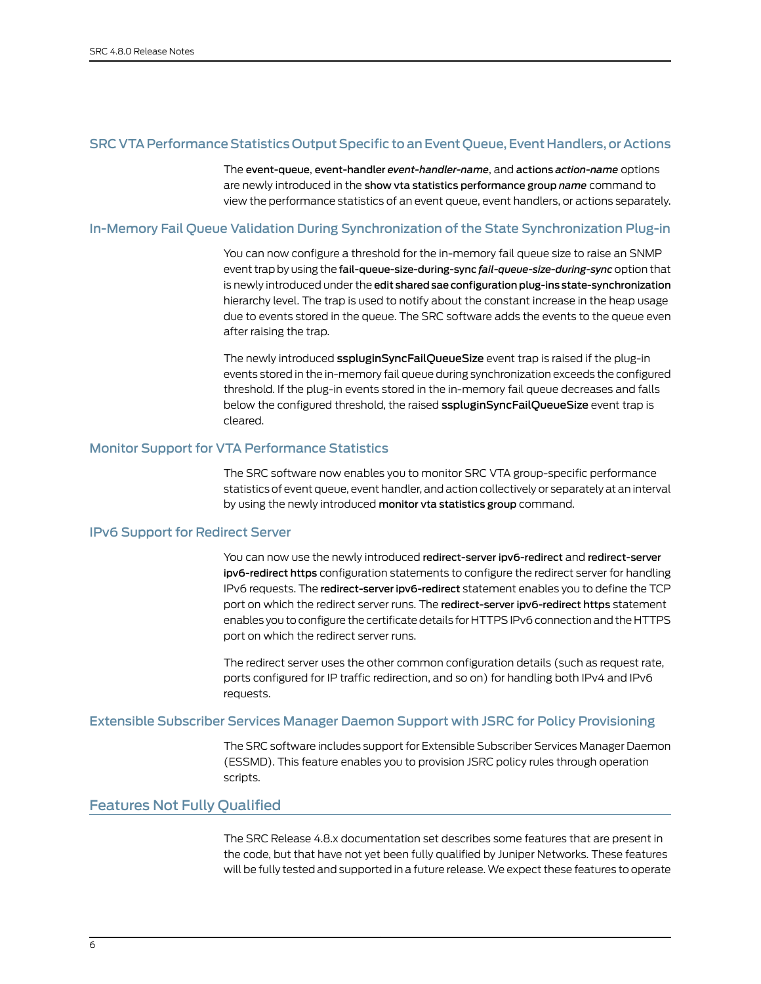# <span id="page-5-0"></span>SRC VTA Performance Statistics Output Specific to an Event Queue, Event Handlers, or Actions

The event-queue, event-handler *event-handler-name*, and actions *action-name* options are newly introduced in the show vta statistics performance group *name* command to view the performance statistics of an event queue, event handlers, or actions separately.

# <span id="page-5-1"></span>In-Memory Fail Queue Validation During Synchronization of the State Synchronization Plug-in

You can now configure a threshold for the in-memory fail queue size to raise an SNMP event trap by using the fail-queue-size-during-sync *fail-queue-size-during-sync* option that is newly introduced under the edit shared sae configuration plug-ins state-synchronization hierarchy level. The trap is used to notify about the constant increase in the heap usage due to events stored in the queue. The SRC software adds the events to the queue even after raising the trap.

The newly introduced sspluginSyncFailQueueSize event trap is raised if the plug-in events stored in the in-memory fail queue during synchronization exceeds the configured threshold. If the plug-in events stored in the in-memory fail queue decreases and falls below the configured threshold, the raised sspluginSyncFailQueueSize event trap is cleared.

#### <span id="page-5-3"></span><span id="page-5-2"></span>Monitor Support for VTA Performance Statistics

The SRC software now enables you to monitor SRC VTA group-specific performance statistics of event queue, event handler, and action collectively or separately at an interval by using the newly introduced monitor vta statistics group command.

#### IPv6 Support for Redirect Server

You can now use the newly introduced redirect-server ipv6-redirect and redirect-server ipv6-redirect https configuration statements to configure the redirect server for handling IPv6 requests. The redirect-server ipv6-redirect statement enables you to define the TCP port on which the redirect server runs. The redirect-server ipv6-redirect https statement enables you to configure the certificate details for HTTPS IPv6 connection and the HTTPS port on which the redirect server runs.

The redirect server uses the other common configuration details (such as request rate, ports configured for IP traffic redirection, and so on) for handling both IPv4 and IPv6 requests.

# <span id="page-5-5"></span><span id="page-5-4"></span>Extensible Subscriber Services Manager Daemon Support with JSRC for Policy Provisioning

The SRC software includes support for Extensible Subscriber Services Manager Daemon (ESSMD). This feature enables you to provision JSRC policy rules through operation scripts.

# Features Not Fully Qualified

The SRC Release 4.8.x documentation set describes some features that are present in the code, but that have not yet been fully qualified by Juniper Networks. These features will be fully tested and supported in a future release. We expect these features to operate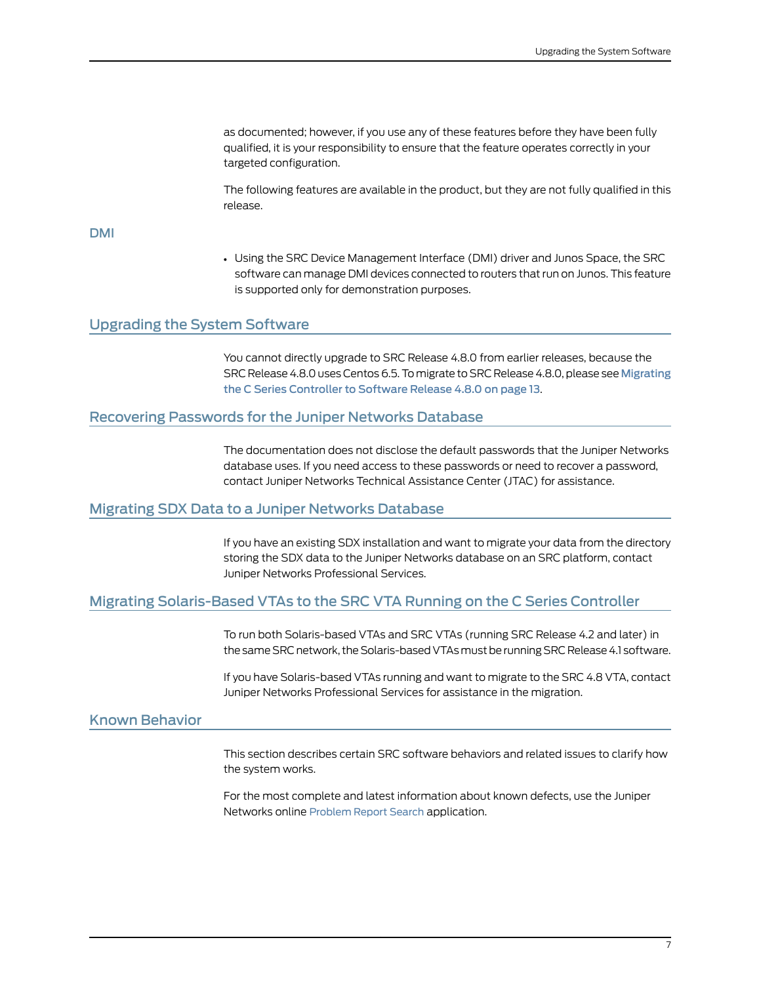as documented; however, if you use any of these features before they have been fully qualified, it is your responsibility to ensure that the feature operates correctly in your targeted configuration.

The following features are available in the product, but they are not fully qualified in this release.

#### <span id="page-6-0"></span>DMI

• Using the SRC Device Management Interface (DMI) driver and Junos Space, the SRC software can manage DMI devices connected to routers that run on Junos. This feature is supported only for demonstration purposes.

#### <span id="page-6-1"></span>Upgrading the System Software

You cannot directly upgrade to SRC Release 4.8.0 from earlier releases, because the SRC Release 4.8.0 uses Centos 6.5. To migrate to SRC Release 4.8.0, please see [Migrating](#page-12-0) the C Series [Controller](#page-12-0) to Software Release 4.8.0 on page 13.

# <span id="page-6-3"></span><span id="page-6-2"></span>Recovering Passwords for the Juniper Networks Database

The documentation does not disclose the default passwords that the Juniper Networks database uses. If you need access to these passwords or need to recover a password, contact Juniper Networks Technical Assistance Center (JTAC) for assistance.

#### <span id="page-6-4"></span>Migrating SDX Data to a Juniper Networks Database

If you have an existing SDX installation and want to migrate your data from the directory storing the SDX data to the Juniper Networks database on an SRC platform, contact Juniper Networks Professional Services.

## <span id="page-6-5"></span>Migrating Solaris-Based VTAs to the SRC VTA Running on the C Series Controller

To run both Solaris-based VTAs and SRC VTAs (running SRC Release 4.2 and later) in the same SRC network, the Solaris-based VTAs must be running SRC Release 4.1 software.

If you have Solaris-based VTAs running and want to migrate to the SRC 4.8 VTA, contact Juniper Networks Professional Services for assistance in the migration.

# Known Behavior

This section describes certain SRC software behaviors and related issues to clarify how the system works.

For the most complete and latest information about known defects, use the Juniper Networks online [Problem](https://prsearch.juniper.net) Report Search application.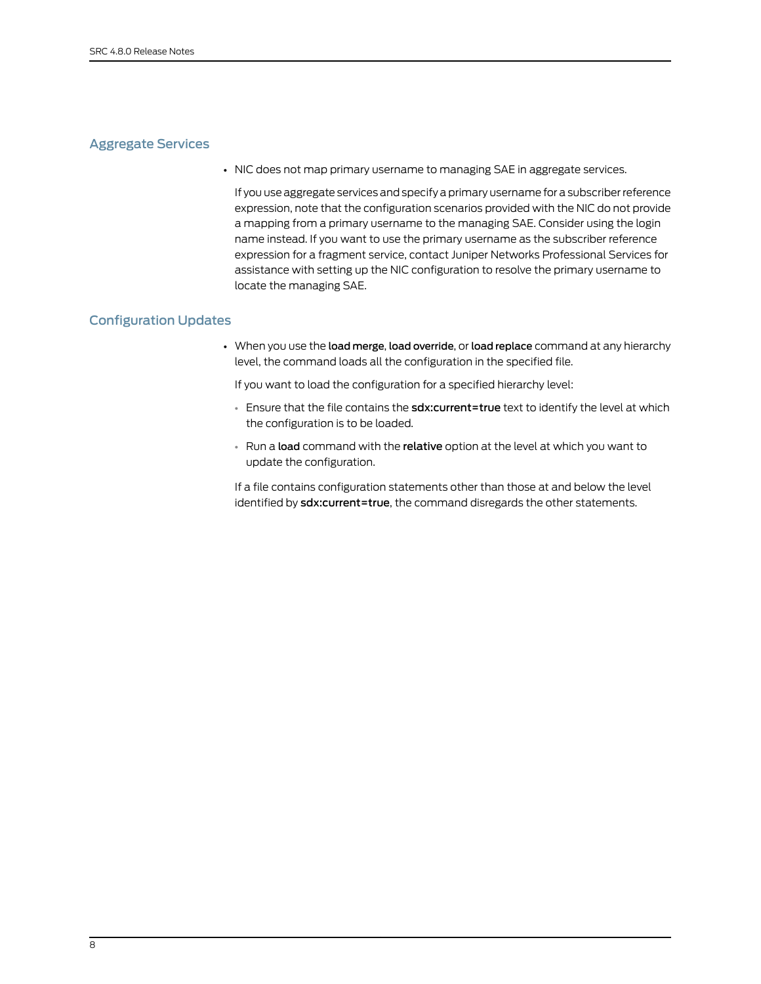# <span id="page-7-0"></span>Aggregate Services

• NIC does not map primary username to managing SAE in aggregate services.

If you use aggregate services and specify a primary username for a subscriberreference expression, note that the configuration scenarios provided with the NIC do not provide a mapping from a primary username to the managing SAE. Consider using the login name instead. If you want to use the primary username as the subscriber reference expression for a fragment service, contact Juniper Networks Professional Services for assistance with setting up the NIC configuration to resolve the primary username to locate the managing SAE.

#### <span id="page-7-1"></span>Configuration Updates

• When you use the load merge, load override, or load replace command at any hierarchy level, the command loads all the configuration in the specified file.

If you want to load the configuration for a specified hierarchy level:

- Ensure that the file contains the sdx: current=true text to identify the level at which the configuration is to be loaded.
- Run a load command with the relative option at the level at which you want to update the configuration.

If a file contains configuration statements other than those at and below the level identified by sdx:current=true, the command disregards the other statements.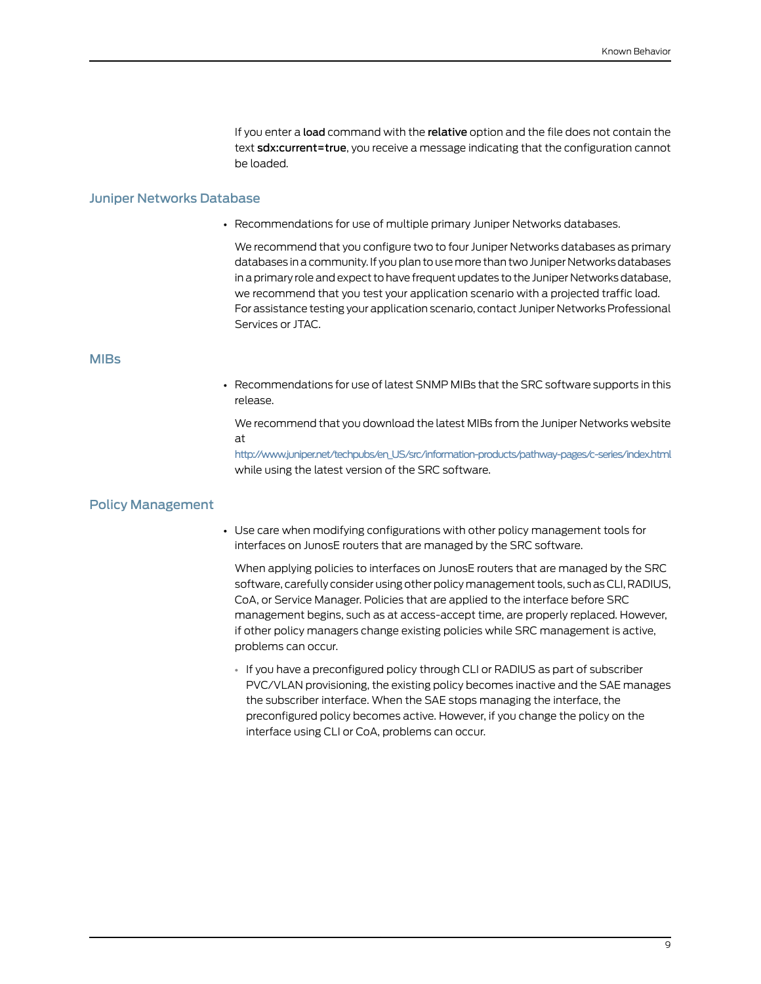If you enter a load command with the relative option and the file does not contain the text **sdx:current=true**, you receive a message indicating that the configuration cannot be loaded.

#### <span id="page-8-0"></span>Juniper Networks Database

• Recommendations for use of multiple primary Juniper Networks databases.

We recommend that you configure two to four Juniper Networks databases as primary databases in a community. If you plan to use more than two Juniper Networks databases in a primary role and expect to have frequent updates to the Juniper Networks database, we recommend that you test your application scenario with a projected traffic load. For assistance testing your application scenario, contact Juniper Networks Professional Services or JTAC.

#### <span id="page-8-1"></span>MIBs

• Recommendations for use of latest SNMP MIBs that the SRC software supports in this release.

We recommend that you download the latest MIBs from the Juniper Networks website at

[http://www.juniper.net/techpubs/en\\_US/src/information-products/pathway-pages/c-series/index.html](http://www.juniper.net/techpubs/en_US/src/information-products/pathway-pages/c-series/index.html) while using the latest version of the SRC software.

### <span id="page-8-2"></span>Policy Management

• Use care when modifying configurations with other policy management tools for interfaces on JunosE routers that are managed by the SRC software.

When applying policies to interfaces on JunosE routers that are managed by the SRC software, carefully consider using other policy management tools, such as CLI, RADIUS, CoA, or Service Manager. Policies that are applied to the interface before SRC management begins, such as at access-accept time, are properly replaced. However, if other policy managers change existing policies while SRC management is active, problems can occur.

• If you have a preconfigured policy through CLI or RADIUS as part of subscriber PVC/VLAN provisioning, the existing policy becomes inactive and the SAE manages the subscriber interface. When the SAE stops managing the interface, the preconfigured policy becomes active. However, if you change the policy on the interface using CLI or CoA, problems can occur.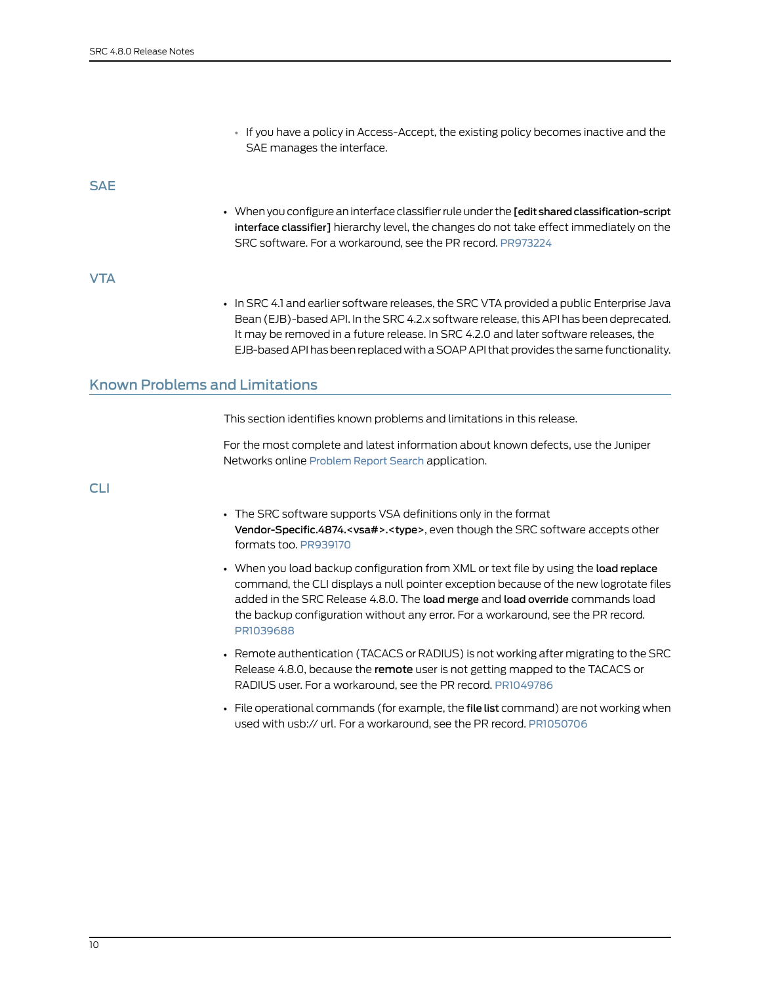• If you have a policy in Access-Accept, the existing policy becomes inactive and the SAE manages the interface.

<span id="page-9-0"></span>SAE

• When you configure an interface classifierrule under the [edit sharedclassification-script interface classifier] hierarchy level, the changes do not take effect immediately on the SRC software. For a workaround, see the PR record. [PR973224](https://prsearch.juniper.net/PR973224)

<span id="page-9-1"></span>VTA

• In SRC 4.1 and earlier software releases, the SRC VTA provided a public Enterprise Java Bean (EJB)-based API. In the SRC 4.2.x software release, this API has been deprecated. It may be removed in a future release. In SRC 4.2.0 and later software releases, the EJB-based API has been replaced with a SOAP API that provides the same functionality.

# <span id="page-9-2"></span>Known Problems and Limitations

This section identifies known problems and limitations in this release.

For the most complete and latest information about known defects, use the Juniper Networks online [Problem](https://prsearch.juniper.net) Report Search application.

<span id="page-9-3"></span>CLI

- The SRC software supports VSA definitions only in the format Vendor-Specific.4874.<vsa#>.<type>, even though the SRC software accepts other formats too. [PR939170](https://prsearch.juniper.net/PR939170)
- When you load backup configuration from XML or text file by using the load replace command, the CLI displays a null pointer exception because of the new logrotate files added in the SRC Release 4.8.0. The load merge and load override commands load the backup configuration without any error. For a workaround, see the PR record. [PR1039688](https://prsearch.juniper.net/PR1039688)
- Remote authentication (TACACS or RADIUS) is not working after migrating to the SRC Release 4.8.0, because the remote user is not getting mapped to the TACACS or RADIUS user. For a workaround, see the PR record. [PR1049786](https://prsearch.juniper.net/PR1049786)
- File operational commands (for example, the file list command) are not working when used with usb:// url. For a workaround, see the PR record. [PR1050706](https://prsearch.juniper.net/PR1050706)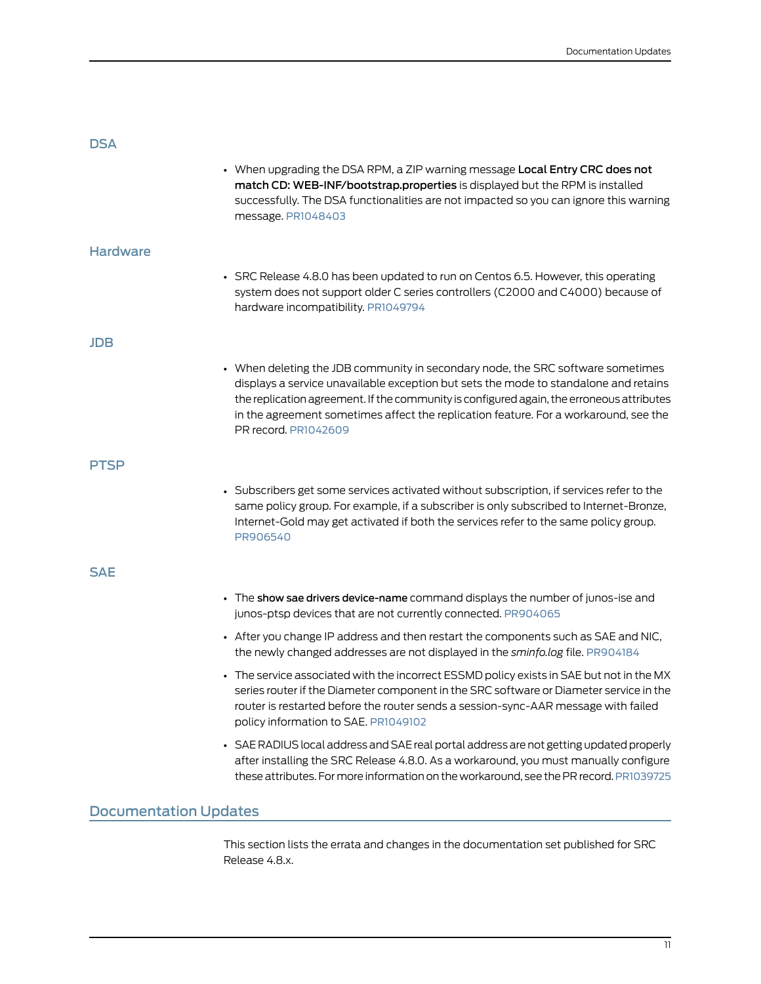<span id="page-10-3"></span><span id="page-10-2"></span><span id="page-10-1"></span><span id="page-10-0"></span>

| <b>DSA</b>                   | • When upgrading the DSA RPM, a ZIP warning message Local Entry CRC does not<br>match CD: WEB-INF/bootstrap.properties is displayed but the RPM is installed<br>successfully. The DSA functionalities are not impacted so you can ignore this warning                                                                                                                                |
|------------------------------|--------------------------------------------------------------------------------------------------------------------------------------------------------------------------------------------------------------------------------------------------------------------------------------------------------------------------------------------------------------------------------------|
| <b>Hardware</b>              | message. PR1048403                                                                                                                                                                                                                                                                                                                                                                   |
|                              | • SRC Release 4.8.0 has been updated to run on Centos 6.5. However, this operating<br>system does not support older C series controllers (C2000 and C4000) because of<br>hardware incompatibility. PR1049794                                                                                                                                                                         |
| <b>JDB</b>                   |                                                                                                                                                                                                                                                                                                                                                                                      |
|                              | • When deleting the JDB community in secondary node, the SRC software sometimes<br>displays a service unavailable exception but sets the mode to standalone and retains<br>the replication agreement. If the community is configured again, the erroneous attributes<br>in the agreement sometimes affect the replication feature. For a workaround, see the<br>PR record, PR1042609 |
| <b>PTSP</b>                  |                                                                                                                                                                                                                                                                                                                                                                                      |
|                              | • Subscribers get some services activated without subscription, if services refer to the<br>same policy group. For example, if a subscriber is only subscribed to Internet-Bronze,<br>Internet-Gold may get activated if both the services refer to the same policy group.<br>PR906540                                                                                               |
| <b>SAE</b>                   |                                                                                                                                                                                                                                                                                                                                                                                      |
|                              | • The show sae drivers device-name command displays the number of junos-ise and<br>junos-ptsp devices that are not currently connected. PR904065                                                                                                                                                                                                                                     |
|                              | • After you change IP address and then restart the components such as SAE and NIC,<br>the newly changed addresses are not displayed in the sminfo.log file. PR904184                                                                                                                                                                                                                 |
|                              | • The service associated with the incorrect ESSMD policy exists in SAE but not in the MX<br>series router if the Diameter component in the SRC software or Diameter service in the<br>router is restarted before the router sends a session-sync-AAR message with failed<br>policy information to SAE. PR1049102                                                                     |
|                              | • SAE RADIUS local address and SAE real portal address are not getting updated properly<br>after installing the SRC Release 4.8.0. As a workaround, you must manually configure<br>these attributes. For more information on the workaround, see the PR record. PR1039725                                                                                                            |
| <b>Documentation Updates</b> |                                                                                                                                                                                                                                                                                                                                                                                      |

<span id="page-10-5"></span><span id="page-10-4"></span>This section lists the errata and changes in the documentation set published for SRC Release 4.8.x.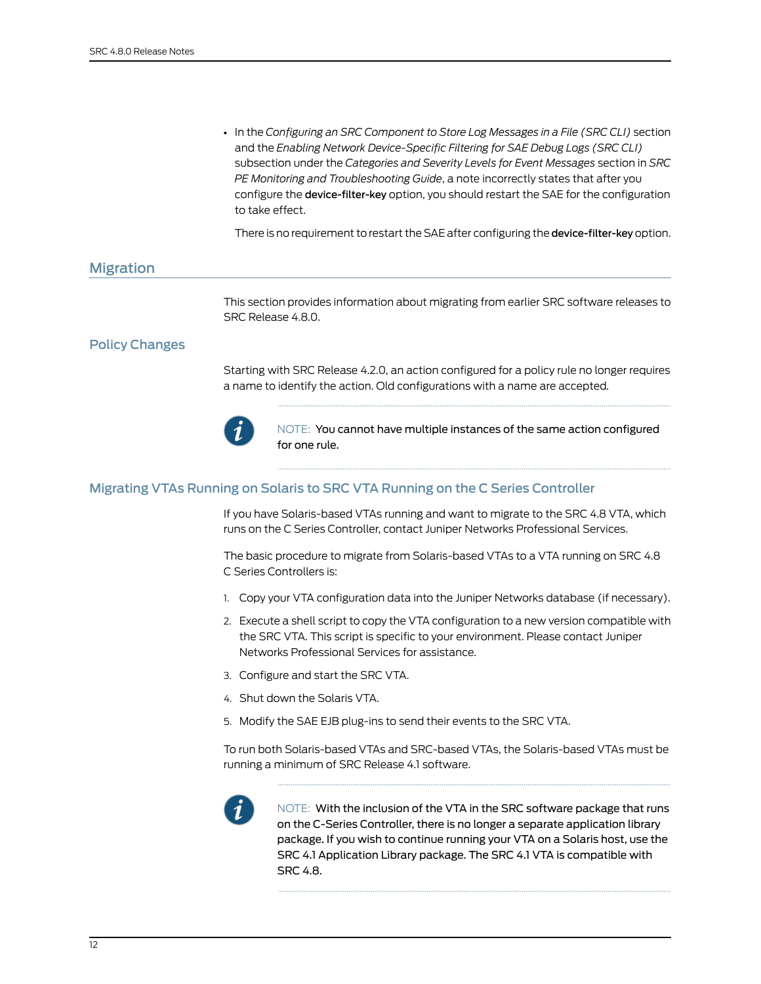• In the *Configuring an SRC Component to Store Log Messages in a File (SRC CLI)* section and the *Enabling Network Device-Specific Filtering for SAE Debug Logs (SRC CLI)* subsection under the *Categories and Severity Levels for Event Messages* section in *SRC PE Monitoring and Troubleshooting Guide*, a note incorrectly states that after you configure the device-filter-key option, you should restart the SAE for the configuration to take effect.

There is no requirement to restart the SAE after configuring the device-filter-key option.

# <span id="page-11-0"></span>Migration

This section provides information about migrating from earlier SRC software releases to SRC Release 4.8.0.

# <span id="page-11-1"></span>Policy Changes

Starting with SRC Release 4.2.0, an action configured for a policy rule no longer requires a name to identify the action. Old configurations with a name are accepted.



NOTE: You cannot have multiple instances of the same action configured for one rule.

#### <span id="page-11-2"></span>Migrating VTAs Running on Solaris to SRC VTA Running on the C Series Controller

If you have Solaris-based VTAs running and want to migrate to the SRC 4.8 VTA, which runs on the C Series Controller, contact Juniper Networks Professional Services.

The basic procedure to migrate from Solaris-based VTAs to a VTA running on SRC 4.8 C Series Controllers is:

- 1. Copy your VTA configuration data into the Juniper Networks database (if necessary).
- 2. Execute a shell script to copy the VTA configuration to a new version compatible with the SRC VTA. This script is specific to your environment. Please contact Juniper Networks Professional Services for assistance.
- 3. Configure and start the SRC VTA.
- 4. Shut down the Solaris VTA.
- 5. Modify the SAE EJB plug-ins to send their events to the SRC VTA.

To run both Solaris-based VTAs and SRC-based VTAs, the Solaris-based VTAs must be running a minimum of SRC Release 4.1 software.



NOTE: With the inclusion of the VTA in the SRC software package that runs on the C-Series Controller, there is no longer a separate application library package. If you wish to continue running your VTA on a Solaris host, use the SRC 4.1 Application Library package. The SRC 4.1 VTA is compatible with SRC 4.8.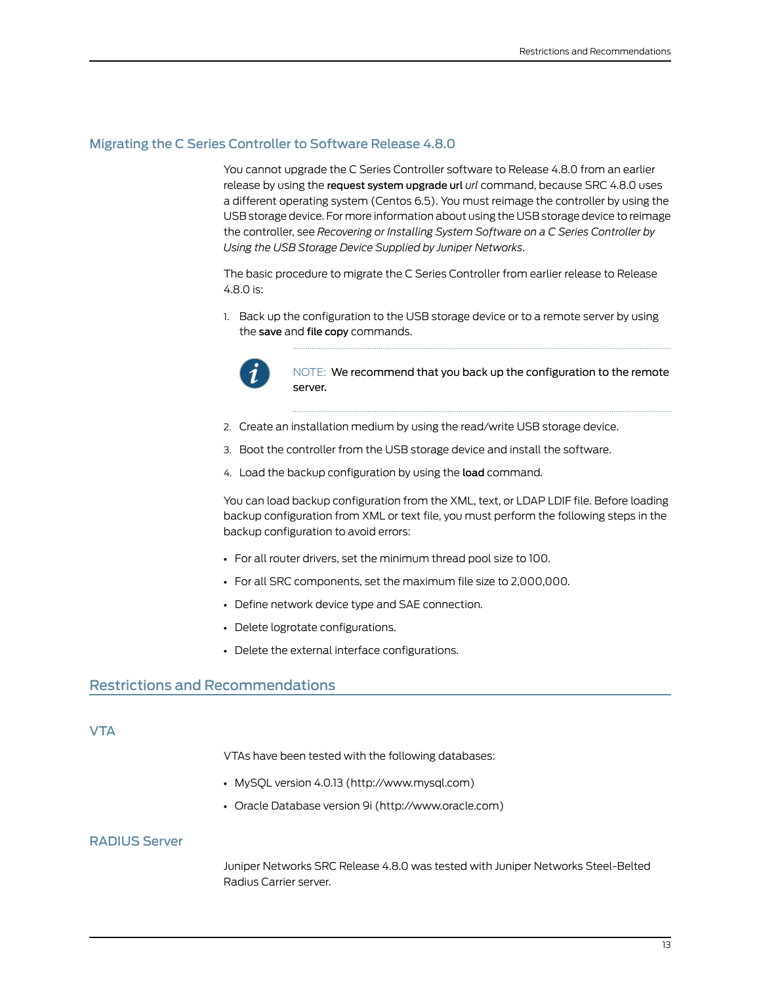# <span id="page-12-0"></span>Migrating the C Series Controller to Software Release 4.8.0

You cannot upgrade the C Series Controller software to Release 4.8.0 from an earlier release by using the request system upgrade url *url* command, because SRC 4.8.0 uses a different operating system (Centos 6.5). You must reimage the controller by using the USB storage device. For more information about using the USB storage device to reimage the controller, see *Recovering or Installing System Software on a C Series Controller by Using the USB Storage Device Supplied by Juniper Networks*.

The basic procedure to migrate the C Series Controller from earlier release to Release 4.8.0 is:

1. Back up the configuration to the USB storage device or to a remote server by using the save and file copy commands.



NOTE: We recommend that you back up the configuration to the remote server.

- 2. Create an installation medium by using the read/write USB storage device.
- 3. Boot the controller from the USB storage device and install the software.
- 4. Load the backup configuration by using the load command.

You can load backup configuration from the XML, text, or LDAP LDIF file. Before loading backup configuration from XML or text file, you must perform the following steps in the backup configuration to avoid errors:

- For all router drivers, set the minimum thread pool size to 100.
- For all SRC components, set the maximum file size to 2,000,000.
- Define network device type and SAE connection.
- Delete logrotate configurations.
- Delete the external interface configurations.

# <span id="page-12-2"></span><span id="page-12-1"></span>Restrictions and Recommendations

#### <span id="page-12-3"></span>**VTA**

VTAs have been tested with the following databases:

- MySQL version 4.0.13 (http://www.mysql.com)
- Oracle Database version 9i (http://www.oracle.com)

# RADIUS Server

Juniper Networks SRC Release 4.8.0 was tested with Juniper Networks Steel-Belted Radius Carrier server.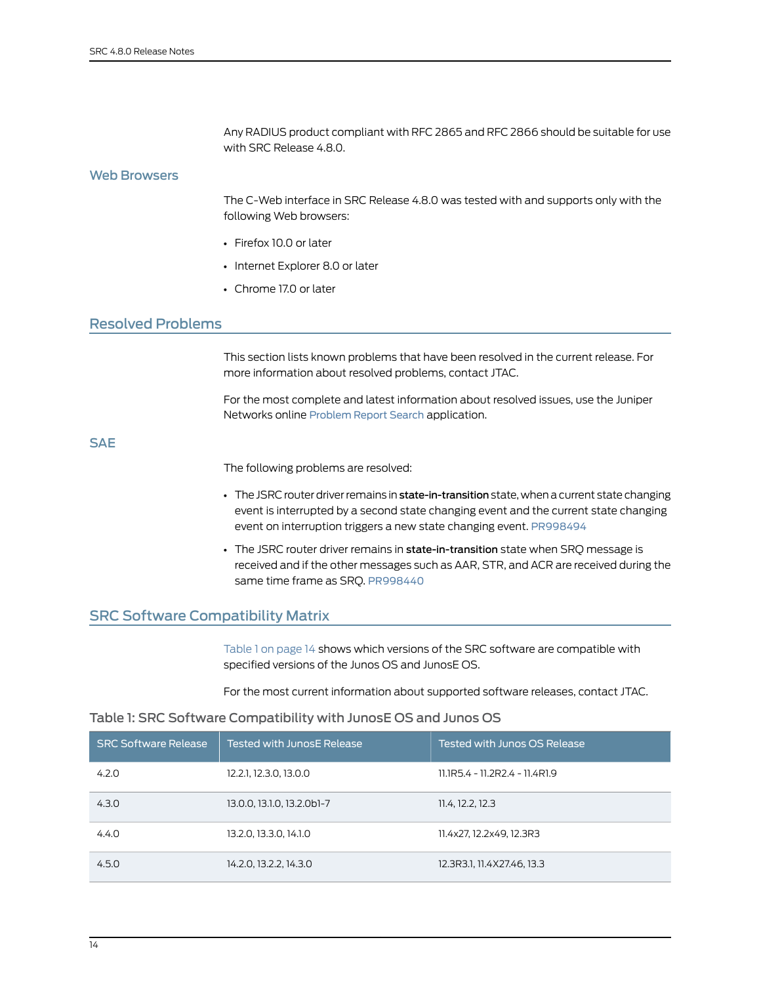Any RADIUS product compliant with RFC 2865 and RFC 2866 should be suitable for use with SRC Release 4.8.0.

#### <span id="page-13-0"></span>Web Browsers

The C-Web interface in SRC Release 4.8.0 was tested with and supports only with the following Web browsers:

- Firefox 10.0 or later
- Internet Explorer 8.0 or later
- Chrome 17.0 or later

# <span id="page-13-1"></span>Resolved Problems

This section lists known problems that have been resolved in the current release. For more information about resolved problems, contact JTAC.

For the most complete and latest information about resolved issues, use the Juniper Networks online [Problem](https://prsearch.juniper.net) Report Search application.

# <span id="page-13-2"></span>**SAE**

The following problems are resolved:

- The JSRC router driver remains in state-in-transition state, when a current state changing event is interrupted by a second state changing event and the current state changing event on interruption triggers a new state changing event. [PR998494](https://prsearch.juniper.net/PR998494)
- The JSRC router driver remains in state-in-transition state when SRQ message is received and if the other messages such as AAR, STR, and ACR are received during the same time frame as SRQ. [PR998440](https://prsearch.juniper.net/PR998440)

# <span id="page-13-3"></span>SRC Software Compatibility Matrix

<span id="page-13-4"></span>[Table](#page-13-4) 1 on page 14 shows which versions of the SRC software are compatible with specified versions of the Junos OS and JunosE OS.

For the most current information about supported software releases, contact JTAC.

#### Table 1: SRC Software Compatibility with JunosE OS and Junos OS

| <b>SRC Software Release</b> | Tested with JunosE Release | Tested with Junos OS Release   |
|-----------------------------|----------------------------|--------------------------------|
| 4.2.0                       | 12.2.1, 12.3.0, 13.0.0     | 11.1R5.4 - 11.2R2.4 - 11.4R1.9 |
| 4.3.0                       | 13.0.0, 13.1.0, 13.2.0b1-7 | 11.4, 12.2, 12.3               |
| 4.4.0                       | 13.2.0, 13.3.0, 14.1.0     | 11.4x27, 12.2x49, 12.3R3       |
| 4.5.0                       | 14.2.0, 13.2.2, 14.3.0     | 12.3R3.1, 11.4X27.46, 13.3     |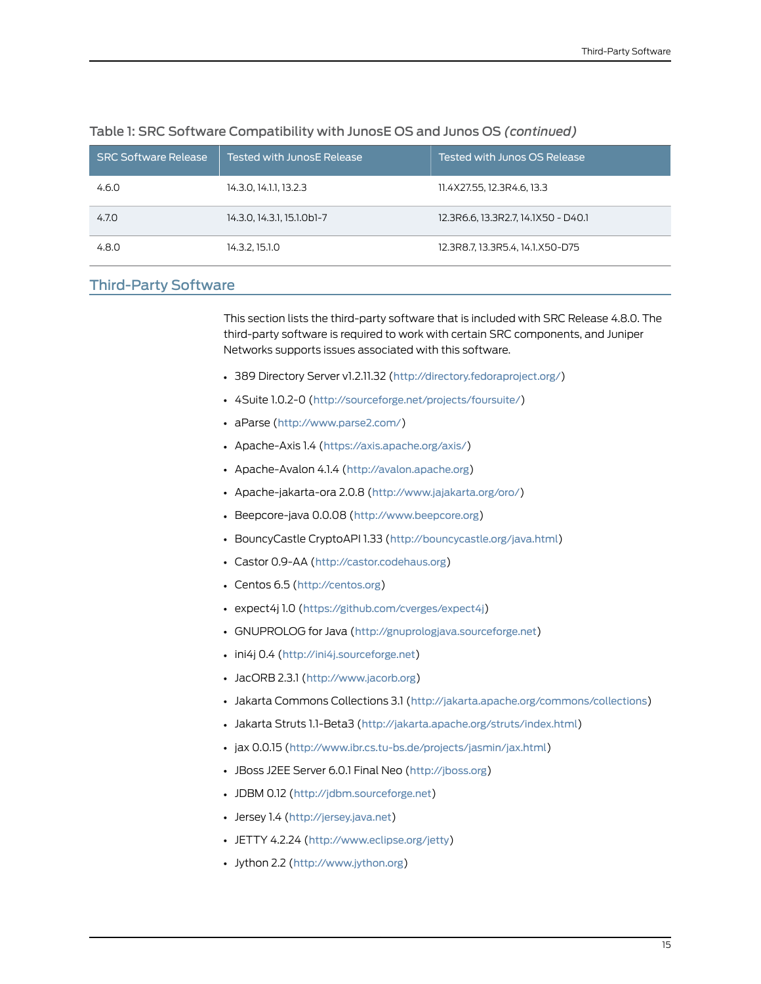| <b>SRC Software Release</b> | Tested with JunosE Release | Tested with Junos OS Release        |
|-----------------------------|----------------------------|-------------------------------------|
| 4.6.0                       | 14.3.0, 14.1.1, 13.2.3     | 11.4X27.55, 12.3R4.6, 13.3          |
| 4.7.0                       | 14.3.0, 14.3.1, 15.1.0b1-7 | 12.3R6.6, 13.3R2.7, 14.1X50 - D40.1 |
| 4.8.0                       | 14.3.2, 15.1.0             | 12.3R8.7, 13.3R5.4, 14.1.X50-D75    |

#### Table 1: SRC Software Compatibility with JunosE OS and Junos OS *(continued)*

# <span id="page-14-0"></span>Third-Party Software

This section lists the third-party software that is included with SRC Release 4.8.0. The third-party software is required to work with certain SRC components, and Juniper Networks supports issues associated with this software.

- 389 Directory Server v1.2.11.32 (<http://directory.fedoraproject.org/>)
- 4Suite 1.0.2-0 (<http://sourceforge.net/projects/foursuite/>)
- aParse (<http://www.parse2.com/>)
- Apache-Axis 1.4 (<https://axis.apache.org/axis/>)
- Apache-Avalon 4.1.4 (<http://avalon.apache.org>)
- Apache-jakarta-ora 2.0.8 (<http://www.jajakarta.org/oro/>)
- Beepcore-java 0.0.08 (<http://www.beepcore.org>)
- BouncyCastle CryptoAPI 1.33 (<http://bouncycastle.org/java.html>)
- Castor 0.9-AA (<http://castor.codehaus.org>)
- Centos 6.5 (<http://centos.org>)
- expect4j 1.0 (<https://github.com/cverges/expect4j>)
- GNUPROLOG for Java (<http://gnuprologjava.sourceforge.net>)
- ini4j 0.4 (<http://ini4j.sourceforge.net>)
- JacORB 2.3.1 (<http://www.jacorb.org>)
- Jakarta Commons Collections 3.1 (<http://jakarta.apache.org/commons/collections>)
- Jakarta Struts 1.1-Beta3 (<http://jakarta.apache.org/struts/index.html>)
- jax 0.0.15 (<http://www.ibr.cs.tu-bs.de/projects/jasmin/jax.html>)
- JBoss J2EE Server 6.0.1 Final Neo (<http://jboss.org>)
- JDBM 0.12 (<http://jdbm.sourceforge.net>)
- Jersey 1.4 (<http://jersey.java.net>)
- JETTY 4.2.24 (<http://www.eclipse.org/jetty>)
- Jython 2.2 (<http://www.jython.org>)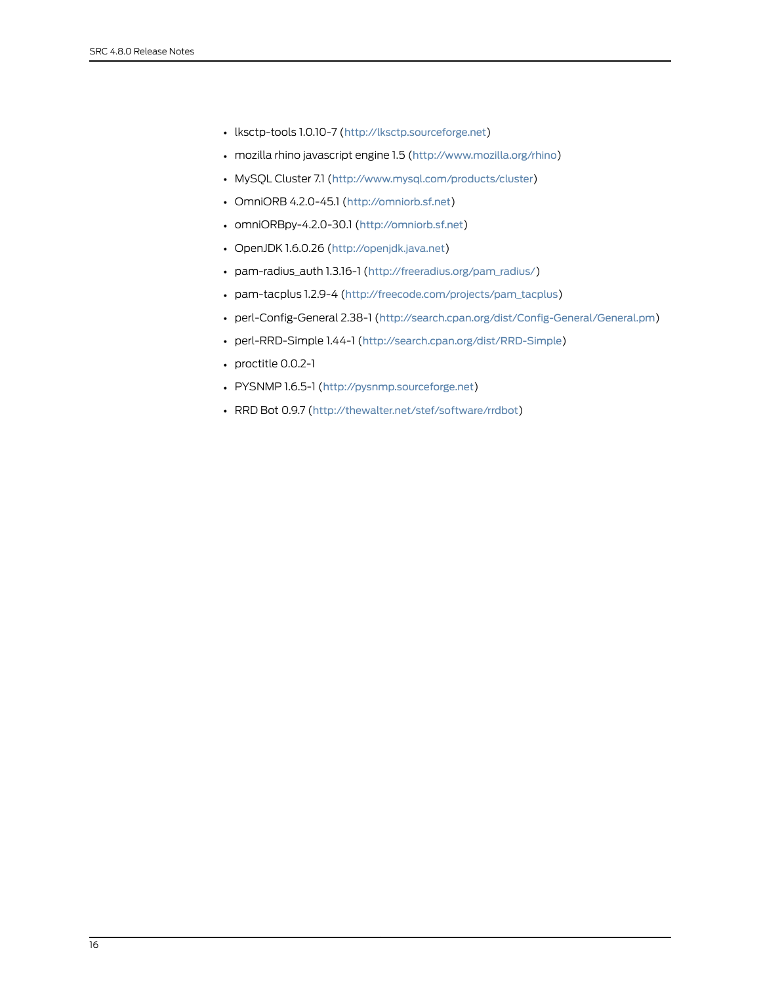- lksctp-tools 1.0.10-7 (<http://lksctp.sourceforge.net>)
- mozilla rhino javascript engine 1.5 (<http://www.mozilla.org/rhino>)
- MySQL Cluster 7.1 (<http://www.mysql.com/products/cluster>)
- OmniORB 4.2.0-45.1 (<http://omniorb.sf.net>)
- omniORBpy-4.2.0-30.1 (<http://omniorb.sf.net>)
- OpenJDK 1.6.0.26 (<http://openjdk.java.net>)
- pam-radius\_auth 1.3.16-1 ([http://freeradius.org/pam\\_radius/](http://freeradius.org/pam_radius/))
- pam-tacplus 1.2.9-4 ([http://freecode.com/projects/pam\\_tacplus](http://freecode.com/projects/pam_tacplus))
- perl-Config-General 2.38-1 (<http://search.cpan.org/dist/Config-General/General.pm>)
- perl-RRD-Simple 1.44-1 (<http://search.cpan.org/dist/RRD-Simple>)
- proctitle 0.0.2-1
- PYSNMP 1.6.5-1 (<http://pysnmp.sourceforge.net>)
- RRD Bot 0.9.7 (<http://thewalter.net/stef/software/rrdbot>)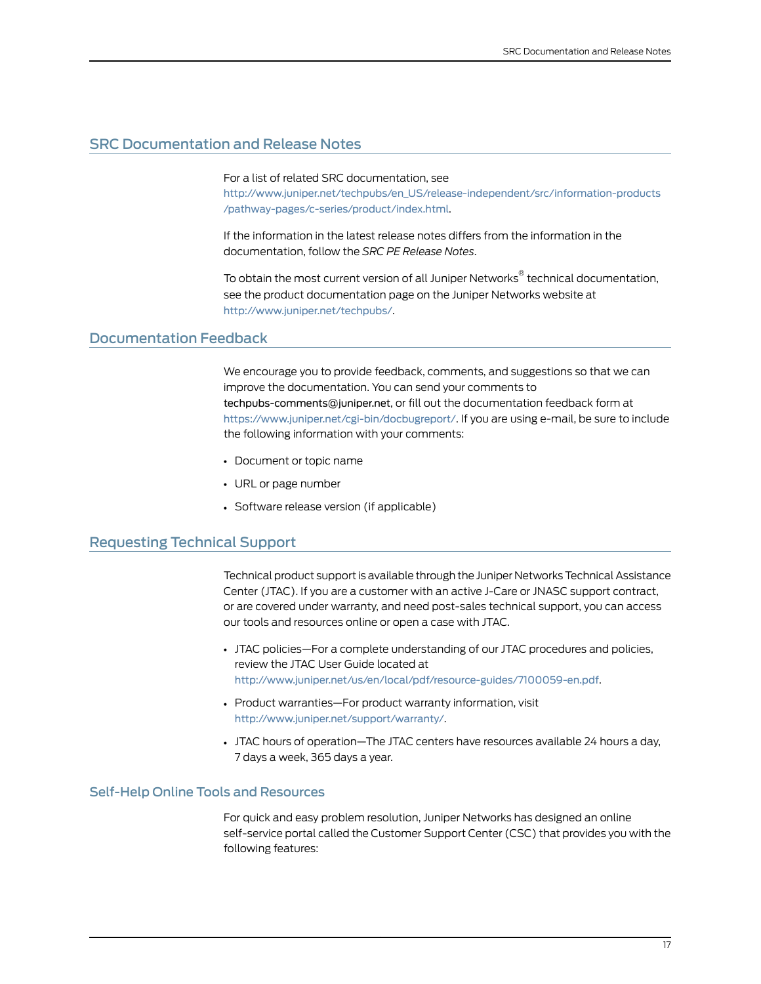# <span id="page-16-0"></span>SRC Documentation and Release Notes

For a list of related SRC documentation, see

[http://www.juniper.net/techpubs/en\\_US/release-independent/src/information-products](http://www.juniper.net/techpubs/en_US/release-independent/src/information-products/pathway-pages/c-series/product/index.html) [/pathway-pages/c-series/product/index.html](http://www.juniper.net/techpubs/en_US/release-independent/src/information-products/pathway-pages/c-series/product/index.html).

If the information in the latest release notes differs from the information in the documentation, follow the *SRC PE Release Notes*.

To obtain the most current version of all Juniper Networks ® technical documentation, see the product documentation page on the Juniper Networks website at <http://www.juniper.net/techpubs/>.

#### <span id="page-16-1"></span>Documentation Feedback

We encourage you to provide feedback, comments, and suggestions so that we can improve the documentation. You can send your comments to [techpubs-comments@juniper.net](mailto:techpubs-comments@juniper.net?subject=), or fill out the documentation feedback form at <https://www.juniper.net/cgi-bin/docbugreport/>. If you are using e-mail, be sure to include the following information with your comments:

- Document or topic name
- URL or page number
- Software release version (if applicable)

# <span id="page-16-2"></span>Requesting Technical Support

Technical product support is available through the Juniper NetworksTechnical Assistance Center (JTAC). If you are a customer with an active J-Care or JNASC support contract, or are covered under warranty, and need post-sales technical support, you can access our tools and resources online or open a case with JTAC.

- JTAC policies—For a complete understanding of our JTAC procedures and policies, review the JTAC User Guide located at <http://www.juniper.net/us/en/local/pdf/resource-guides/7100059-en.pdf>.
- Product warranties—For product warranty information, visit <http://www.juniper.net/support/warranty/>.
- JTAC hours of operation—The JTAC centers have resources available 24 hours a day, 7 days a week, 365 days a year.

#### <span id="page-16-3"></span>Self-Help Online Tools and Resources

For quick and easy problem resolution, Juniper Networks has designed an online self-service portal called the Customer Support Center (CSC) that provides you with the following features: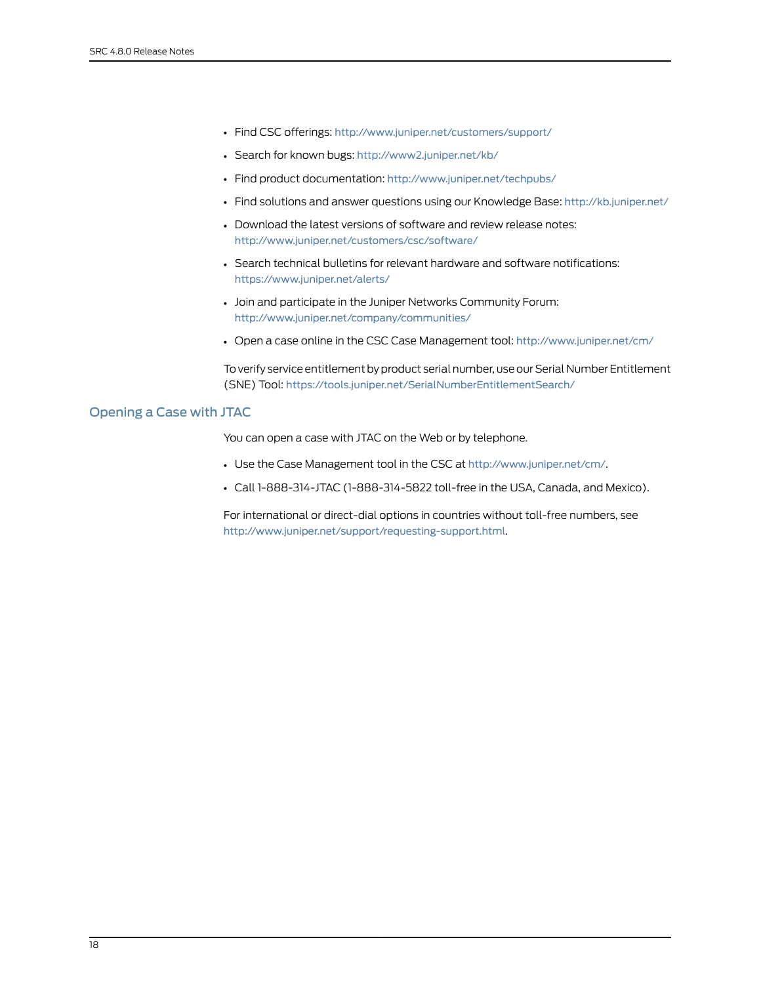- Find CSC offerings: <http://www.juniper.net/customers/support/>
- Search for known bugs: <http://www2.juniper.net/kb/>
- Find product documentation: <http://www.juniper.net/techpubs/>
- Find solutions and answer questions using our Knowledge Base: <http://kb.juniper.net/>
- Download the latest versions of software and review release notes: <http://www.juniper.net/customers/csc/software/>
- Search technical bulletins for relevant hardware and software notifications: <https://www.juniper.net/alerts/>
- Join and participate in the Juniper Networks Community Forum: <http://www.juniper.net/company/communities/>
- Open a case online in the CSC Case Management tool: <http://www.juniper.net/cm/>

To verify service entitlement by product serial number, use our Serial Number Entitlement (SNE) Tool: <https://tools.juniper.net/SerialNumberEntitlementSearch/>

#### <span id="page-17-0"></span>Opening a Case with JTAC

You can open a case with JTAC on the Web or by telephone.

- Use the Case Management tool in the CSC at <http://www.juniper.net/cm/>.
- Call 1-888-314-JTAC (1-888-314-5822 toll-free in the USA, Canada, and Mexico).

For international or direct-dial options in countries without toll-free numbers, see <http://www.juniper.net/support/requesting-support.html>.